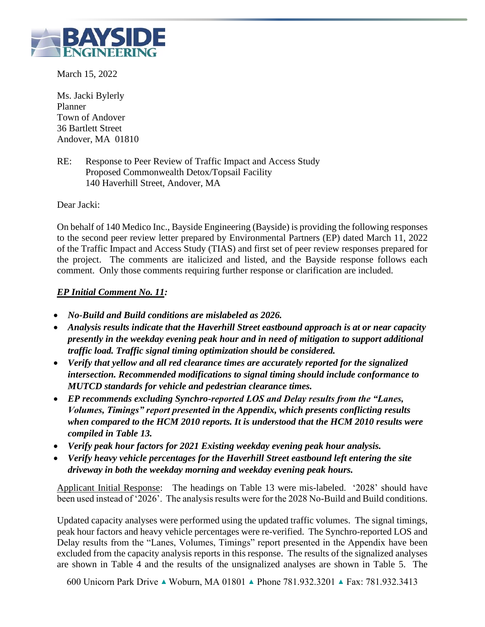

March 15, 2022

Ms. Jacki Bylerly Planner Town of Andover 36 Bartlett Street Andover, MA 01810

RE: Response to Peer Review of Traffic Impact and Access Study Proposed Commonwealth Detox/Topsail Facility 140 Haverhill Street, Andover, MA

Dear Jacki:

On behalf of 140 Medico Inc., Bayside Engineering (Bayside) is providing the following responses to the second peer review letter prepared by Environmental Partners (EP) dated March 11, 2022 of the Traffic Impact and Access Study (TIAS) and first set of peer review responses prepared for the project. The comments are italicized and listed, and the Bayside response follows each comment. Only those comments requiring further response or clarification are included.

## *EP Initial Comment No. 11:*

- *No-Build and Build conditions are mislabeled as 2026.*
- *Analysis results indicate that the Haverhill Street eastbound approach is at or near capacity presently in the weekday evening peak hour and in need of mitigation to support additional traffic load. Traffic signal timing optimization should be considered.*
- *Verify that yellow and all red clearance times are accurately reported for the signalized intersection. Recommended modifications to signal timing should include conformance to MUTCD standards for vehicle and pedestrian clearance times.*
- *EP recommends excluding Synchro-reported LOS and Delay results from the "Lanes, Volumes, Timings" report presented in the Appendix, which presents conflicting results when compared to the HCM 2010 reports. It is understood that the HCM 2010 results were compiled in Table 13.*
- *Verify peak hour factors for 2021 Existing weekday evening peak hour analysis.*
- *Verify heavy vehicle percentages for the Haverhill Street eastbound left entering the site driveway in both the weekday morning and weekday evening peak hours.*

Applicant Initial Response: The headings on Table 13 were mis-labeled. '2028' should have been used instead of '2026'. The analysis results were for the 2028 No-Build and Build conditions.

Updated capacity analyses were performed using the updated traffic volumes. The signal timings, peak hour factors and heavy vehicle percentages were re-verified. The Synchro-reported LOS and Delay results from the "Lanes, Volumes, Timings" report presented in the Appendix have been excluded from the capacity analysis reports in this response. The results of the signalized analyses are shown in Table 4 and the results of the unsignalized analyses are shown in Table 5. The

600 Unicorn Park Drive ▲ Woburn, MA 01801 ▲ Phone 781.932.3201 ▲ Fax: 781.932.3413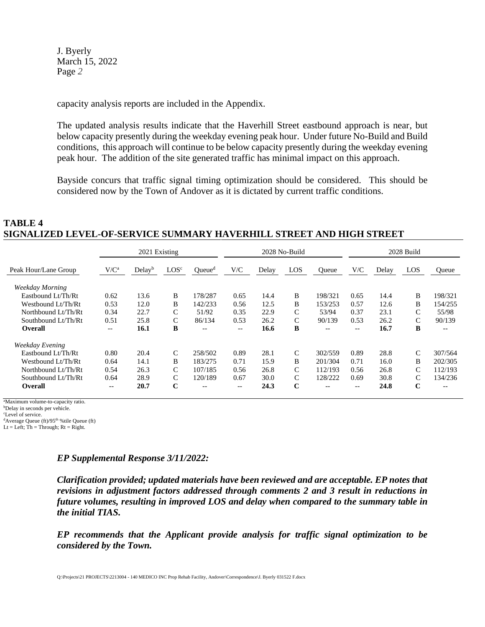capacity analysis reports are included in the Appendix.

The updated analysis results indicate that the Haverhill Street eastbound approach is near, but below capacity presently during the weekday evening peak hour. Under future No-Build and Build conditions, this approach will continue to be below capacity presently during the weekday evening peak hour. The addition of the site generated traffic has minimal impact on this approach.

Bayside concurs that traffic signal timing optimization should be considered. This should be considered now by the Town of Andover as it is dictated by current traffic conditions.

#### **TABLE 4 SIGNALIZED LEVEL-OF-SERVICE SUMMARY HAVERHILL STREET AND HIGH STREET**

|                      |         | 2021 Existing      |                  |                    |                          | 2028 No-Build |               | 2028 Build        |                                                     |       |               |              |
|----------------------|---------|--------------------|------------------|--------------------|--------------------------|---------------|---------------|-------------------|-----------------------------------------------------|-------|---------------|--------------|
| Peak Hour/Lane Group | $V/C^a$ | Delay <sup>b</sup> | LOS <sup>c</sup> | Queue <sup>d</sup> | V/C                      | Delay         | LOS           | <b>Oueue</b>      | V/C                                                 | Delay | LOS           | <b>Oueue</b> |
| Weekday Morning      |         |                    |                  |                    |                          |               |               |                   |                                                     |       |               |              |
| Eastbound Lt/Th/Rt   | 0.62    | 13.6               | B                | 178/287            | 0.65                     | 14.4          | B             | 198/321           | 0.65                                                | 14.4  | B             | 198/321      |
| Westbound Lt/Th/Rt   | 0.53    | 12.0               | B                | 142/233            | 0.56                     | 12.5          | B             | 153/253           | 0.57                                                | 12.6  | B             | 154/255      |
| Northbound Lt/Th/Rt  | 0.34    | 22.7               | C                | 51/92              | 0.35                     | 22.9          | C             | 53/94             | 0.37                                                | 23.1  | C             | 55/98        |
| Southbound Lt/Th/Rt  | 0.51    | 25.8               | C                | 86/134             | 0.53                     | 26.2          | C             | 90/139            | 0.53                                                | 26.2  | C             | 90/139       |
| <b>Overall</b>       | $-\, -$ | 16.1               | B                | $\qquad \qquad -$  | $\overline{\phantom{m}}$ | 16.6          | B             | $\qquad \qquad -$ | $\hspace{0.05cm} -\hspace{0.05cm} -\hspace{0.05cm}$ | 16.7  | B             | $- -$        |
| Weekday Evening      |         |                    |                  |                    |                          |               |               |                   |                                                     |       |               |              |
| Eastbound Lt/Th/Rt   | 0.80    | 20.4               | C                | 258/502            | 0.89                     | 28.1          | $\mathcal{C}$ | 302/559           | 0.89                                                | 28.8  | $\mathcal{C}$ | 307/564      |
| Westbound Lt/Th/Rt   | 0.64    | 14.1               | B                | 183/275            | 0.71                     | 15.9          | B             | 201/304           | 0.71                                                | 16.0  | B             | 202/305      |
| Northbound Lt/Th/Rt  | 0.54    | 26.3               | C                | 107/185            | 0.56                     | 26.8          | C             | 112/193           | 0.56                                                | 26.8  | $\mathcal{C}$ | 112/193      |
| Southbound Lt/Th/Rt  | 0.64    | 28.9               | C                | 120/189            | 0.67                     | 30.0          | C             | 128/222           | 0.69                                                | 30.8  | C             | 134/236      |
| <b>Overall</b>       | $- -$   | 20.7               | C                | $- -$              | $\qquad \qquad -$        | 24.3          | C             | --                | $- -$                                               | 24.8  | $\mathbf C$   | $- -$        |

<sup>a</sup>Maximum volume-to-capacity ratio.

<sup>b</sup>Delay in seconds per vehicle.

<sup>c</sup>Level of service.

 $d$ Average Queue (ft)/95<sup>th</sup> %tile Queue (ft)

 $Lt = Left$ ; Th = Through;  $Rt = Right$ .

#### *EP Supplemental Response 3/11/2022:*

*Clarification provided; updated materials have been reviewed and are acceptable. EP notes that revisions in adjustment factors addressed through comments 2 and 3 result in reductions in future volumes, resulting in improved LOS and delay when compared to the summary table in the initial TIAS.* 

*EP recommends that the Applicant provide analysis for traffic signal optimization to be considered by the Town.*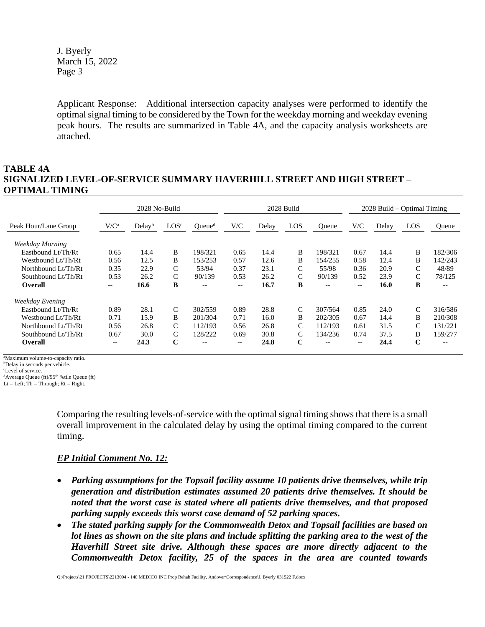Applicant Response: Additional intersection capacity analyses were performed to identify the optimal signal timing to be considered by the Town for the weekday morning and weekday evening peak hours. The results are summarized in Table 4A, and the capacity analysis worksheets are attached.

## **TABLE 4A SIGNALIZED LEVEL-OF-SERVICE SUMMARY HAVERHILL STREET AND HIGH STREET – OPTIMAL TIMING**

|                      | 2028 No-Build |                    |                  |                    |       | 2028 Build |               | $2028$ Build – Optimal Timing |       |       |             |         |
|----------------------|---------------|--------------------|------------------|--------------------|-------|------------|---------------|-------------------------------|-------|-------|-------------|---------|
| Peak Hour/Lane Group | $V/C^a$       | Delay <sup>b</sup> | LOS <sup>c</sup> | Queue <sup>d</sup> | V/C   | Delay      | LOS           | Oueue                         | V/C   | Delay | LOS         | Oueue   |
| Weekday Morning      |               |                    |                  |                    |       |            |               |                               |       |       |             |         |
| Eastbound Lt/Th/Rt   | 0.65          | 14.4               | B                | 198/321            | 0.65  | 14.4       | B             | 198/321                       | 0.67  | 14.4  | B           | 182/306 |
| Westbound Lt/Th/Rt   | 0.56          | 12.5               | B                | 153/253            | 0.57  | 12.6       | B             | 154/255                       | 0.58  | 12.4  | B           | 142/243 |
| Northbound Lt/Th/Rt  | 0.35          | 22.9               | $\mathcal{C}$    | 53/94              | 0.37  | 23.1       | C             | 55/98                         | 0.36  | 20.9  | C           | 48/89   |
| Southbound Lt/Th/Rt  | 0.53          | 26.2               | C                | 90/139             | 0.53  | 26.2       | C             | 90/139                        | 0.52  | 23.9  | C           | 78/125  |
| <b>Overall</b>       | $- -$         | 16.6               | B                | $- -$              | $- -$ | 16.7       | B             | $- -$                         | $- -$ | 16.0  | B           | $- -$   |
| Weekday Evening      |               |                    |                  |                    |       |            |               |                               |       |       |             |         |
| Eastbound Lt/Th/Rt   | 0.89          | 28.1               | C                | 302/559            | 0.89  | 28.8       | $\mathcal{C}$ | 307/564                       | 0.85  | 24.0  | C           | 316/586 |
| Westbound Lt/Th/Rt   | 0.71          | 15.9               | <sub>B</sub>     | 201/304            | 0.71  | 16.0       | B             | 202/305                       | 0.67  | 14.4  | B           | 210/308 |
| Northbound Lt/Th/Rt  | 0.56          | 26.8               | C                | 112/193            | 0.56  | 26.8       | C             | 112/193                       | 0.61  | 31.5  | C           | 131/221 |
| Southbound Lt/Th/Rt  | 0.67          | 30.0               | $\mathcal{C}$    | 128/222            | 0.69  | 30.8       | $\mathcal{C}$ | 134/236                       | 0.74  | 37.5  | D           | 159/277 |
| Overall              | $- -$         | 24.3               | $\mathbf C$      | $- -$              | --    | 24.8       | $\mathbf C$   | --                            | $- -$ | 24.4  | $\mathbf C$ | $- -$   |

<sup>a</sup>Maximum volume-to-capacity ratio.

<sup>b</sup>Delay in seconds per vehicle.

<sup>c</sup>Level of service.

 $d$ Average Queue (ft)/95<sup>th</sup> %tile Queue (ft)

 $Lt = Left$ ; Th = Through;  $Rt = Right$ .

Comparing the resulting levels-of-service with the optimal signal timing shows that there is a small overall improvement in the calculated delay by using the optimal timing compared to the current timing.

#### *EP Initial Comment No. 12:*

- *Parking assumptions for the Topsail facility assume 10 patients drive themselves, while trip generation and distribution estimates assumed 20 patients drive themselves. It should be noted that the worst case is stated where all patients drive themselves, and that proposed parking supply exceeds this worst case demand of 52 parking spaces.*
- *The stated parking supply for the Commonwealth Detox and Topsail facilities are based on lot lines as shown on the site plans and include splitting the parking area to the west of the Haverhill Street site drive. Although these spaces are more directly adjacent to the Commonwealth Detox facility, 25 of the spaces in the area are counted towards*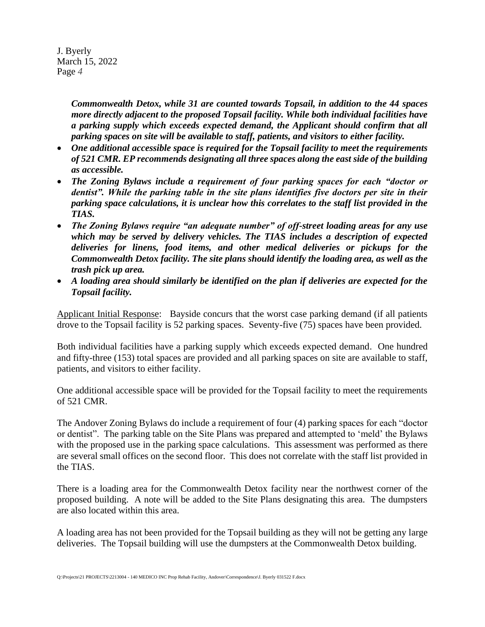> *Commonwealth Detox, while 31 are counted towards Topsail, in addition to the 44 spaces more directly adjacent to the proposed Topsail facility. While both individual facilities have a parking supply which exceeds expected demand, the Applicant should confirm that all parking spaces on site will be available to staff, patients, and visitors to either facility.*

- *One additional accessible space is required for the Topsail facility to meet the requirements of 521 CMR. EP recommends designating all three spaces along the east side of the building as accessible.*
- *The Zoning Bylaws include a requirement of four parking spaces for each "doctor or dentist". While the parking table in the site plans identifies five doctors per site in their parking space calculations, it is unclear how this correlates to the staff list provided in the TIAS.*
- *The Zoning Bylaws require "an adequate number" of off-street loading areas for any use which may be served by delivery vehicles. The TIAS includes a description of expected deliveries for linens, food items, and other medical deliveries or pickups for the Commonwealth Detox facility. The site plans should identify the loading area, as well as the trash pick up area.*
- *A loading area should similarly be identified on the plan if deliveries are expected for the Topsail facility.*

Applicant Initial Response: Bayside concurs that the worst case parking demand (if all patients drove to the Topsail facility is 52 parking spaces. Seventy-five (75) spaces have been provided.

Both individual facilities have a parking supply which exceeds expected demand. One hundred and fifty-three (153) total spaces are provided and all parking spaces on site are available to staff, patients, and visitors to either facility.

One additional accessible space will be provided for the Topsail facility to meet the requirements of 521 CMR.

The Andover Zoning Bylaws do include a requirement of four (4) parking spaces for each "doctor or dentist". The parking table on the Site Plans was prepared and attempted to 'meld' the Bylaws with the proposed use in the parking space calculations. This assessment was performed as there are several small offices on the second floor. This does not correlate with the staff list provided in the TIAS.

There is a loading area for the Commonwealth Detox facility near the northwest corner of the proposed building. A note will be added to the Site Plans designating this area. The dumpsters are also located within this area.

A loading area has not been provided for the Topsail building as they will not be getting any large deliveries. The Topsail building will use the dumpsters at the Commonwealth Detox building.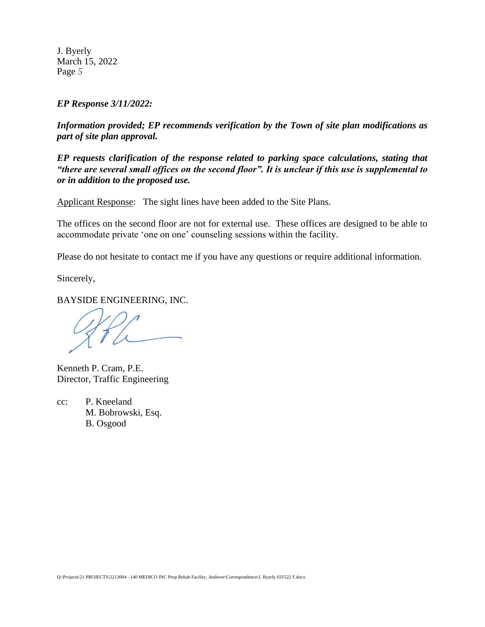*EP Response 3/11/2022:*

*Information provided; EP recommends verification by the Town of site plan modifications as part of site plan approval.* 

*EP requests clarification of the response related to parking space calculations, stating that "there are several small offices on the second floor". It is unclear if this use is supplemental to or in addition to the proposed use.*

Applicant Response: The sight lines have been added to the Site Plans.

The offices on the second floor are not for external use. These offices are designed to be able to accommodate private 'one on one' counseling sessions within the facility.

Please do not hesitate to contact me if you have any questions or require additional information.

Sincerely,

BAYSIDE ENGINEERING, INC.

Kenneth P. Cram, P.E. Director, Traffic Engineering

cc: P. Kneeland M. Bobrowski, Esq. B. Osgood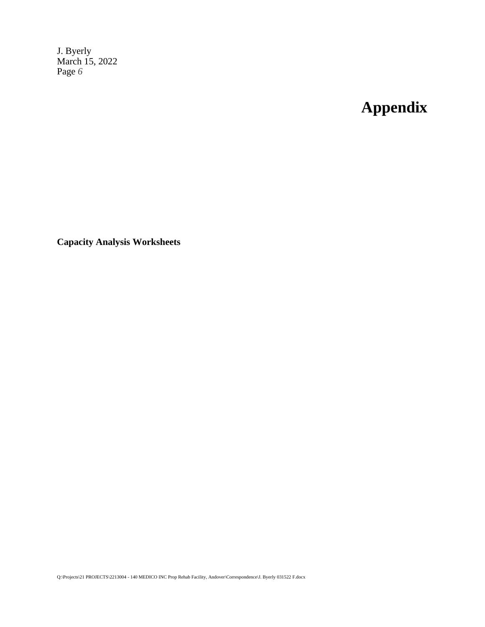# **Appendix**

**Capacity Analysis Worksheets**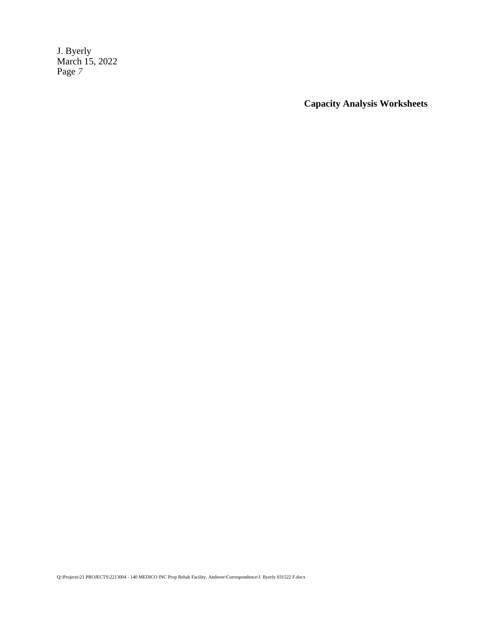**Capacity Analysis Worksheets**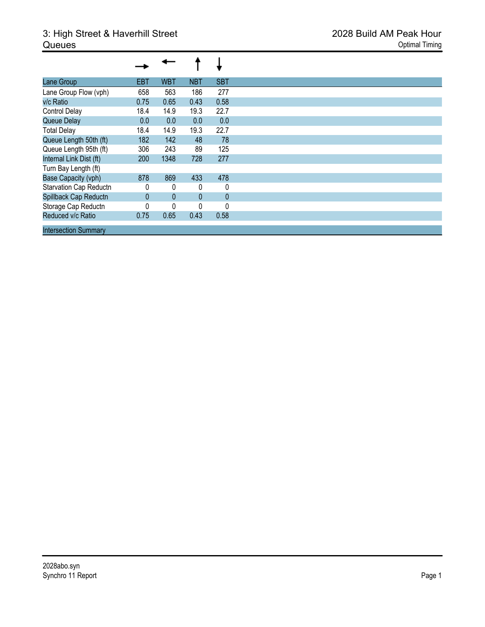## 3: High Street & Haverhill Street 2028 Build AM Peak Hour **Queues** Optimal Timing

| Lane Group                  | <b>EBT</b> | <b>WBT</b>   | <b>NBT</b> | <b>SBT</b>   |
|-----------------------------|------------|--------------|------------|--------------|
| Lane Group Flow (vph)       | 658        | 563          | 186        | 277          |
| v/c Ratio                   | 0.75       | 0.65         | 0.43       | 0.58         |
| <b>Control Delay</b>        | 18.4       | 14.9         | 19.3       | 22.7         |
| Queue Delay                 | 0.0        | 0.0          | 0.0        | 0.0          |
| <b>Total Delay</b>          | 18.4       | 14.9         | 19.3       | 22.7         |
| Queue Length 50th (ft)      | 182        | 142          | 48         | 78           |
| Queue Length 95th (ft)      | 306        | 243          | 89         | 125          |
| Internal Link Dist (ft)     | 200        | 1348         | 728        | 277          |
| Turn Bay Length (ft)        |            |              |            |              |
| Base Capacity (vph)         | 878        | 869          | 433        | 478          |
| Starvation Cap Reductn      | 0          | 0            | 0          | 0            |
| Spillback Cap Reductn       | $\Omega$   | $\mathbf{0}$ | $\Omega$   | $\mathbf{0}$ |
| Storage Cap Reductn         | 0          | 0            | 0          | 0            |
| Reduced v/c Ratio           | 0.75       | 0.65         | 0.43       | 0.58         |
| <b>Intersection Summary</b> |            |              |            |              |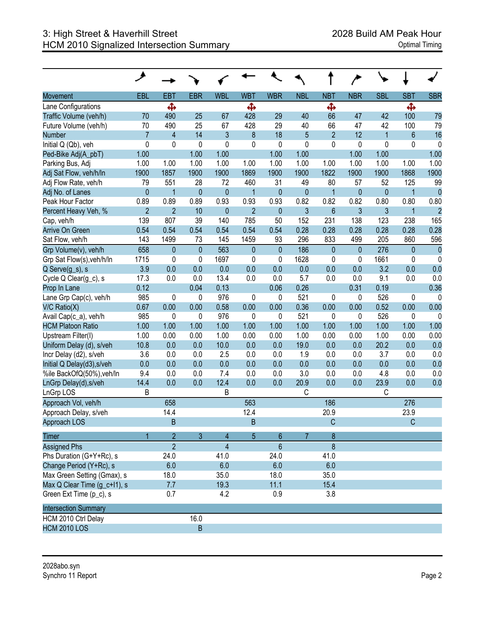| Movement                     | EBL            | EBT                     | <b>EBR</b>  | <b>WBL</b>     | <b>WBT</b>     | <b>WBR</b>   | <b>NBL</b>     | <b>NBT</b>       | <b>NBR</b>   | <b>SBL</b>   | <b>SBT</b>   | <b>SBR</b>     |
|------------------------------|----------------|-------------------------|-------------|----------------|----------------|--------------|----------------|------------------|--------------|--------------|--------------|----------------|
| Lane Configurations          |                | Ф                       |             |                | Ф              |              |                | Ф                |              |              | Ф            |                |
| Traffic Volume (veh/h)       | 70             | 490                     | 25          | 67             | 428            | 29           | 40             | 66               | 47           | 42           | 100          | 79             |
| Future Volume (veh/h)        | 70             | 490                     | 25          | 67             | 428            | 29           | 40             | 66               | 47           | 42           | 100          | 79             |
| Number                       | $\overline{7}$ | $\overline{\mathbf{4}}$ | 14          | $\mathfrak{Z}$ | 8              | 18           | 5              | $\overline{2}$   | 12           | $\mathbf{1}$ | 6            | 16             |
| Initial Q (Qb), veh          | 0              | $\mathbf 0$             | 0           | 0              | 0              | 0            | 0              | 0                | $\mathbf 0$  | 0            | 0            | 0              |
| Ped-Bike Adj(A_pbT)          | 1.00           |                         | 1.00        | 1.00           |                | 1.00         | 1.00           |                  | 1.00         | 1.00         |              | 1.00           |
| Parking Bus, Adj             | 1.00           | 1.00                    | 1.00        | 1.00           | 1.00           | 1.00         | 1.00           | 1.00             | 1.00         | 1.00         | 1.00         | 1.00           |
| Adj Sat Flow, veh/h/ln       | 1900           | 1857                    | 1900        | 1900           | 1869           | 1900         | 1900           | 1822             | 1900         | 1900         | 1868         | 1900           |
| Adj Flow Rate, veh/h         | 79             | 551                     | 28          | 72             | 460            | 31           | 49             | 80               | 57           | 52           | 125          | 99             |
| Adj No. of Lanes             | $\pmb{0}$      | $\mathbf{1}$            | $\pmb{0}$   | $\bf 0$        | $\overline{1}$ | $\pmb{0}$    | $\pmb{0}$      | $\mathbf{1}$     | $\pmb{0}$    | $\pmb{0}$    | $\mathbf{1}$ | $\pmb{0}$      |
| Peak Hour Factor             | 0.89           | 0.89                    | 0.89        | 0.93           | 0.93           | 0.93         | 0.82           | 0.82             | 0.82         | 0.80         | 0.80         | 0.80           |
| Percent Heavy Veh, %         | $\overline{2}$ | $\overline{2}$          | 10          | $\bf 0$        | $\overline{2}$ | $\pmb{0}$    | 3              | $6\phantom{a}$   | 3            | 3            | $\mathbf{1}$ | $\overline{2}$ |
| Cap, veh/h                   | 139            | 807                     | 39          | 140            | 785            | 50           | 152            | 231              | 138          | 123          | 238          | 165            |
| <b>Arrive On Green</b>       | 0.54           | 0.54                    | 0.54        | 0.54           | 0.54           | 0.54         | 0.28           | 0.28             | 0.28         | 0.28         | 0.28         | 0.28           |
| Sat Flow, veh/h              | 143            | 1499                    | 73          | 145            | 1459           | 93           | 296            | 833              | 499          | 205          | 860          | 596            |
| Grp Volume(v), veh/h         | 658            | $\pmb{0}$               | $\mathbf 0$ | 563            | $\mathbf{0}$   | $\mathbf{0}$ | 186            | $\pmb{0}$        | $\mathbf{0}$ | 276          | 0            | $\mathbf{0}$   |
| Grp Sat Flow(s), veh/h/ln    | 1715           | $\mathbf 0$             | 0           | 1697           | 0              | $\mathbf 0$  | 1628           | 0                | $\mathbf 0$  | 1661         | 0            | 0              |
| Q Serve(g_s), s              | 3.9            | 0.0                     | 0.0         | 0.0            | 0.0            | 0.0          | 0.0            | 0.0              | 0.0          | 3.2          | 0.0          | 0.0            |
| Cycle Q Clear(g_c), s        | 17.3           | 0.0                     | 0.0         | 13.4           | 0.0            | 0.0          | 5.7            | 0.0              | 0.0          | 9.1          | 0.0          | 0.0            |
| Prop In Lane                 | 0.12           |                         | 0.04        | 0.13           |                | 0.06         | 0.26           |                  | 0.31         | 0.19         |              | 0.36           |
| Lane Grp Cap(c), veh/h       | 985            | 0                       | 0           | 976            | 0              | $\mathbf 0$  | 521            | 0                | 0            | 526          | 0            | 0              |
| V/C Ratio(X)                 | 0.67           | 0.00                    | 0.00        | 0.58           | 0.00           | 0.00         | 0.36           | 0.00             | 0.00         | 0.52         | 0.00         | 0.00           |
| Avail Cap(c_a), veh/h        | 985            | $\mathbf 0$             | 0           | 976            | 0              | $\mathbf 0$  | 521            | 0                | 0            | 526          | 0            | 0              |
| <b>HCM Platoon Ratio</b>     | 1.00           | 1.00                    | 1.00        | 1.00           | 1.00           | 1.00         | 1.00           | 1.00             | 1.00         | 1.00         | 1.00         | 1.00           |
| Upstream Filter(I)           | 1.00           | 0.00                    | 0.00        | 1.00           | 0.00           | 0.00         | 1.00           | 0.00             | 0.00         | 1.00         | 0.00         | 0.00           |
| Uniform Delay (d), s/veh     | 10.8           | 0.0                     | 0.0         | 10.0           | 0.0            | 0.0          | 19.0           | 0.0              | 0.0          | 20.2         | 0.0          | 0.0            |
| Incr Delay (d2), s/veh       | 3.6            | 0.0                     | 0.0         | 2.5            | 0.0            | 0.0          | 1.9            | 0.0              | 0.0          | 3.7          | 0.0          | 0.0            |
| Initial Q Delay(d3), s/veh   | 0.0            | 0.0                     | 0.0         | 0.0            | 0.0            | 0.0          | 0.0            | 0.0              | 0.0          | 0.0          | 0.0          | 0.0            |
| %ile BackOfQ(50%), veh/ln    | 9.4            | 0.0                     | 0.0         | 7.4            | 0.0            | 0.0          | 3.0            | 0.0              | 0.0          | 4.8          | 0.0          | 0.0            |
| LnGrp Delay(d), s/veh        | 14.4           | 0.0                     | 0.0         | 12.4           | 0.0            | 0.0          | 20.9           | 0.0              | 0.0          | 23.9         | 0.0          | 0.0            |
| LnGrp LOS                    | B              |                         |             | B              |                |              | $\mathsf C$    |                  |              | C            |              |                |
| Approach Vol, veh/h          |                | 658                     |             |                | 563            |              |                | 186              |              |              | 276          |                |
| Approach Delay, s/veh        |                | 14.4                    |             |                | 12.4           |              |                | 20.9             |              |              | 23.9         |                |
| Approach LOS                 |                | B                       |             |                | B              |              |                | C                |              |              | $\mathsf C$  |                |
| <b>Timer</b>                 |                | $\overline{2}$          | 3           | 4              | $5\phantom{.}$ | 6            | $\overline{7}$ | $\boldsymbol{8}$ |              |              |              |                |
| <b>Assigned Phs</b>          |                | $\overline{2}$          |             | $\overline{4}$ |                | 6            |                | 8                |              |              |              |                |
| Phs Duration (G+Y+Rc), s     |                | 24.0                    |             | 41.0           |                | 24.0         |                | 41.0             |              |              |              |                |
| Change Period (Y+Rc), s      |                | 6.0                     |             | 6.0            |                | 6.0          |                | 6.0              |              |              |              |                |
| Max Green Setting (Gmax), s  |                | 18.0                    |             | 35.0           |                | 18.0         |                | 35.0             |              |              |              |                |
| Max Q Clear Time (g_c+l1), s |                | 7.7                     |             | 19.3           |                | 11.1         |                | 15.4             |              |              |              |                |
| Green Ext Time (p_c), s      |                | 0.7                     |             | 4.2            |                | 0.9          |                | 3.8              |              |              |              |                |
| <b>Intersection Summary</b>  |                |                         |             |                |                |              |                |                  |              |              |              |                |
| HCM 2010 Ctrl Delay          |                |                         | 16.0        |                |                |              |                |                  |              |              |              |                |
| <b>HCM 2010 LOS</b>          |                |                         | $\sf B$     |                |                |              |                |                  |              |              |              |                |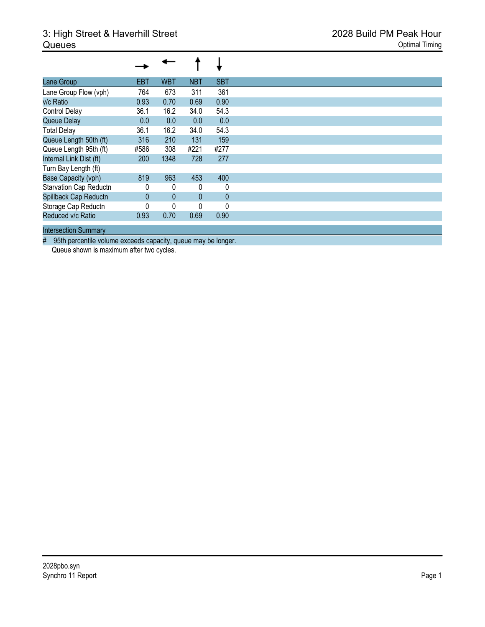| Lane Group                  | EBT          | <b>WBT</b>   | <b>NBT</b>   | <b>SBT</b> |
|-----------------------------|--------------|--------------|--------------|------------|
| Lane Group Flow (vph)       | 764          | 673          | 311          | 361        |
| v/c Ratio                   | 0.93         | 0.70         | 0.69         | 0.90       |
| <b>Control Delay</b>        | 36.1         | 16.2         | 34.0         | 54.3       |
| Queue Delay                 | 0.0          | 0.0          | 0.0          | 0.0        |
| <b>Total Delay</b>          | 36.1         | 16.2         | 34.0         | 54.3       |
| Queue Length 50th (ft)      | 316          | 210          | 131          | 159        |
| Queue Length 95th (ft)      | #586         | 308          | #221         | #277       |
| Internal Link Dist (ft)     | 200          | 1348         | 728          | 277        |
| Turn Bay Length (ft)        |              |              |              |            |
| <b>Base Capacity (vph)</b>  | 819          | 963          | 453          | 400        |
| Starvation Cap Reductn      | 0            | 0            | 0            | 0          |
| Spillback Cap Reductn       | $\mathbf{0}$ | $\mathbf{0}$ | $\mathbf{0}$ | $\bf 0$    |
| Storage Cap Reductn         | 0            | 0            | 0            | 0          |
| Reduced v/c Ratio           | 0.93         | 0.70         | 0.69         | 0.90       |
| <b>Intersection Summary</b> |              |              |              |            |

# 95th percentile volume exceeds capacity, queue may be longer.

Queue shown is maximum after two cycles.